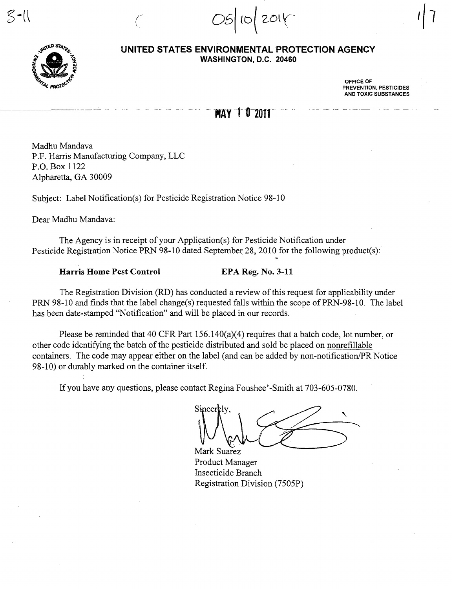$|10|$  201 $\sqrt{ }$ 



 $\mathbb{S}$ -ll

**UNITED STATES ENVIRONMENTAL PROTECTION AGENCY WASHINGTON,** D.C. **20460** 

> OFFICE OF PREVENTION, PESTICIDES AND TOXIC SUBSTANCES

## MAY 1 0 2011

Madhu Mandava P.F. Harris Manufacturing Company, LLC P.O. Box 1122 Alpharetta, GA 30009

Subject: Label Notification(s) for Pesticide Registration Notice 98-10

 $\int_0^\infty$ 

Dear Madhu Mandava:

The Agency is in receipt of your Application(s) for Pesticide Notification under Pesticide Registration Notice PRN 98-10 dated September 28, 2010 for the following product(s):

Harris Home Pest Control EPA Reg. No. 3-11

The Registration Division (RD) has conducted a review of this request for applicability under PRN 98-10 and finds that the label change(s) requested falls within the scope of PRN-98-10. The label has been date-stamped "Notification" and will be placed in our records.

Please be reminded that 40 CFR Part 156. 140(a)(4) requires that a batch code, lot number, or other code identifying the batch of the pesticide distributed and sold be placed on nonrefillable containers. The code may appear either on the label (and can be added by non-notification/PR Notice 98-10) or durably marked on the container itself.

If you have any questions, please contact Regina Foushee' -Smith at 703-605-0780.

Sincerely,  $\left\langle \begin{array}{ccc} 1 & 1 \ 1 & 1 \end{array} \right\rangle$  $\bigcup_{\text{Mark Suarez}}$ 

Mark Suarez Product Manager Insecticide Branch Registration Division (7505P)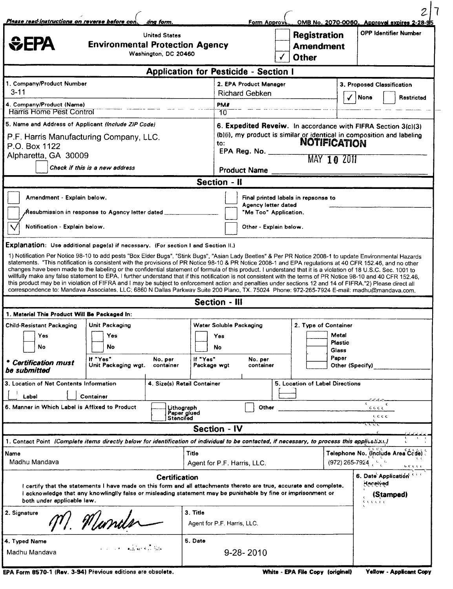| Please read instructions on reverse before con.<br>ang form.<br><b>United States</b><br><b><i><u></u></i></b> CEPA<br><b>Environmental Protection Agency</b><br>Washington, DC 20460                                                                                                                                                                                                                                                                                                                                                                                                                                                                                                                                                                                                                                                                                                                                                                                                               |                                                                |                                                                                                                                                                                                                      |                                                                                         | <b>Form Approve</b>                                                    |  | <b>Registration</b><br><b>Amendment</b><br><b>Other</b>                              |                | OMB No. 2070-0060. Approval expires 2-28-95<br><b>OPP Identifier Number</b> |
|----------------------------------------------------------------------------------------------------------------------------------------------------------------------------------------------------------------------------------------------------------------------------------------------------------------------------------------------------------------------------------------------------------------------------------------------------------------------------------------------------------------------------------------------------------------------------------------------------------------------------------------------------------------------------------------------------------------------------------------------------------------------------------------------------------------------------------------------------------------------------------------------------------------------------------------------------------------------------------------------------|----------------------------------------------------------------|----------------------------------------------------------------------------------------------------------------------------------------------------------------------------------------------------------------------|-----------------------------------------------------------------------------------------|------------------------------------------------------------------------|--|--------------------------------------------------------------------------------------|----------------|-----------------------------------------------------------------------------|
|                                                                                                                                                                                                                                                                                                                                                                                                                                                                                                                                                                                                                                                                                                                                                                                                                                                                                                                                                                                                    |                                                                |                                                                                                                                                                                                                      | <b>Application for Pesticide - Section I</b>                                            |                                                                        |  |                                                                                      |                |                                                                             |
| 1. Company/Product Number<br>$3 - 11$                                                                                                                                                                                                                                                                                                                                                                                                                                                                                                                                                                                                                                                                                                                                                                                                                                                                                                                                                              |                                                                |                                                                                                                                                                                                                      |                                                                                         | 2. EPA Product Manager<br><b>Richard Gebken</b>                        |  | 3. Proposed Classification<br>None<br>Restricted                                     |                |                                                                             |
| 4. Company/Product (Name)<br><b>Harris Home Pest Control</b>                                                                                                                                                                                                                                                                                                                                                                                                                                                                                                                                                                                                                                                                                                                                                                                                                                                                                                                                       |                                                                |                                                                                                                                                                                                                      | PM#<br>70                                                                               |                                                                        |  |                                                                                      |                |                                                                             |
| 5. Name and Address of Applicant (Include ZIP Code)<br>P.F. Harris Manufacturing Company, LLC.<br>P.O. Box 1122<br>Alpharetta, GA 30009<br>Check if this is a new address                                                                                                                                                                                                                                                                                                                                                                                                                                                                                                                                                                                                                                                                                                                                                                                                                          | to:                                                            | 6. Expedited Reveiw. In accordance with FIFRA Section 3(c)(3)<br>(b)(i), my product is similar or identical in composition and labeling<br><b>NOTIFICATION</b><br>EPA Reg. No.<br>MAY 10 2011<br><b>Product Name</b> |                                                                                         |                                                                        |  |                                                                                      |                |                                                                             |
|                                                                                                                                                                                                                                                                                                                                                                                                                                                                                                                                                                                                                                                                                                                                                                                                                                                                                                                                                                                                    |                                                                |                                                                                                                                                                                                                      | <b>Section - II</b>                                                                     |                                                                        |  |                                                                                      |                |                                                                             |
| Resubmission in response to Agency letter dated،<br>Notification Explain below.<br>Explanation: Use additional page(s) if necessary. (For section I and Section II.)<br>1) Notification Per Notice 98-10 to add pests "Box Elder Bugs", "Stink Bugs", "Asian Lady Beetles" & Per PR Notice 2008-1 to update Environmental Hazards<br>statements. "This notification is consistent with the provisions of PR Notice 98-10 & PR Notice 2008-1 and EPA regulations at 40 CFR 152.46, and no other<br>changes have been made to the labeling or the confidential statement of formula of this product. I understand that it is a violation of 18 U.S.C. Sec. 1001 to<br>willfully make any false statement to EPA. I further understand that if this notification is not consistent with the terms of PR Notice 98-10 and 40 CFR 152.46,<br>this product may be in violation of FIFRA and I may be subject to enforcement action and penalties under sections 12 and 14 of FIFRA."2) Please direct all |                                                                |                                                                                                                                                                                                                      |                                                                                         | Agency letter dated<br>"Me Too" Application.<br>Other - Explain below. |  |                                                                                      |                |                                                                             |
| correspondence to: Mandava Associates, LLC; 6860 N Dallas Parkway Suite 200 Plano, TX, 75024 Phone: 972-265-7924 E-mail: madhu@mandava.com,                                                                                                                                                                                                                                                                                                                                                                                                                                                                                                                                                                                                                                                                                                                                                                                                                                                        |                                                                |                                                                                                                                                                                                                      |                                                                                         |                                                                        |  |                                                                                      |                |                                                                             |
| 1. Material This Product Will Be Packaged In:                                                                                                                                                                                                                                                                                                                                                                                                                                                                                                                                                                                                                                                                                                                                                                                                                                                                                                                                                      |                                                                |                                                                                                                                                                                                                      | <b>Section - III</b>                                                                    |                                                                        |  |                                                                                      |                |                                                                             |
| <b>Child-Resistant Packaging</b><br>Yes<br>No<br><b>Certification must</b><br>be submitted                                                                                                                                                                                                                                                                                                                                                                                                                                                                                                                                                                                                                                                                                                                                                                                                                                                                                                         | Unit Packaging<br>Yes<br>No<br>If "Yes"<br>Unit Packaging wgt. | No. per<br>container                                                                                                                                                                                                 | Water Soluble Packaging<br>Yes<br>No<br>If "Yes"<br>No. per<br>Package wgt<br>container |                                                                        |  | 2. Type of Container<br>Metal<br><b>Plastic</b><br>Glass<br>Paper<br>Other (Specify) |                |                                                                             |
| 4. Size(s) Retail Container<br>3. Location of Net Contents Information                                                                                                                                                                                                                                                                                                                                                                                                                                                                                                                                                                                                                                                                                                                                                                                                                                                                                                                             |                                                                |                                                                                                                                                                                                                      |                                                                                         | 5. Location of Label Directions                                        |  |                                                                                      |                |                                                                             |
| Container<br>Label<br>6. Manner in Which Label is Affixed to Product<br>Lithograph                                                                                                                                                                                                                                                                                                                                                                                                                                                                                                                                                                                                                                                                                                                                                                                                                                                                                                                 |                                                                |                                                                                                                                                                                                                      | Paper glued<br>Stenciled                                                                | Other                                                                  |  |                                                                                      | C C C C<br>CCC |                                                                             |
|                                                                                                                                                                                                                                                                                                                                                                                                                                                                                                                                                                                                                                                                                                                                                                                                                                                                                                                                                                                                    |                                                                |                                                                                                                                                                                                                      | <b>Section - IV</b>                                                                     |                                                                        |  |                                                                                      |                | じしし                                                                         |
| 1. Contact Point (Complete items directly below for identification of individual to be contacted, if necessary, to process this application.)<br>Name<br>Madhu Mandava                                                                                                                                                                                                                                                                                                                                                                                                                                                                                                                                                                                                                                                                                                                                                                                                                             |                                                                |                                                                                                                                                                                                                      | Title<br>Agent for P.F. Harris, LLC.                                                    |                                                                        |  |                                                                                      |                | Telephone No. (Include Area Cede)<br>$(972)$ 265-7924 $\frac{1}{2}$         |
| I certify that the statements I have made on this form and all attachments thereto are true, accurate and complete.<br>I acknowledge that any knowlinglly false or misleading statement may be punishable by fine or imprisonment or<br>both under applicable law.                                                                                                                                                                                                                                                                                                                                                                                                                                                                                                                                                                                                                                                                                                                                 |                                                                | <b>Certification</b>                                                                                                                                                                                                 |                                                                                         |                                                                        |  |                                                                                      |                | しじしじし<br>6. Date Application Cont<br>Haceived<br>(Stamped)<br>tititi        |
| 2. Signature<br>Wunder                                                                                                                                                                                                                                                                                                                                                                                                                                                                                                                                                                                                                                                                                                                                                                                                                                                                                                                                                                             | 3. Title                                                       | Agent for P.F. Harris, LLC.                                                                                                                                                                                          |                                                                                         |                                                                        |  |                                                                                      |                |                                                                             |
| 5. Date<br>4. Typed Name<br>Madhu Mandava                                                                                                                                                                                                                                                                                                                                                                                                                                                                                                                                                                                                                                                                                                                                                                                                                                                                                                                                                          |                                                                |                                                                                                                                                                                                                      |                                                                                         | 9-28-2010                                                              |  |                                                                                      |                |                                                                             |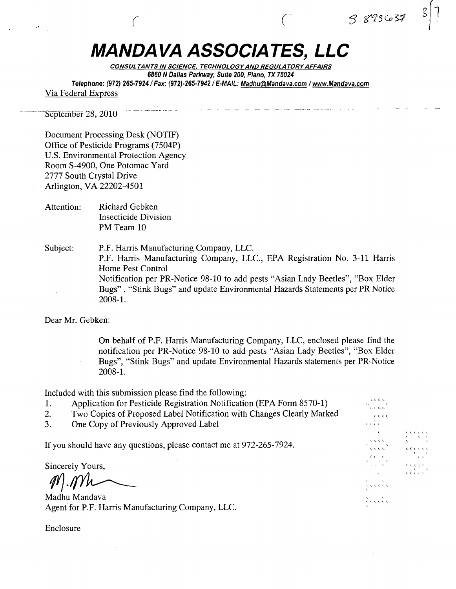## MANDA VA **ASSOCIATES, LLC**

 $\epsilon$  contracts to  $\epsilon$  contracts to  $\epsilon$ 

CONSUL TANTS IN SCIENCE. TECHNOLOGY AND REGULATORY AFFAIRS 6860 N Dallas Parkway, Suite 200, Plano, TX 75024 Telephone: (972) 265-7924/ Fax: (972)-265-7942/ E-MAIL: Madhu@Mandava.com / www.Mandava.com Via Federal Express

September 28, 2010

Document Processing Desk (NOTIF) Office of Pesticide Programs (7504P) U.S. Environmental Protection Agency Room S-4900, One Potomac Yard 2777 South Crystal Drive Arlington, VA 22202-4501

Attention: Richard Gebken Insecticide Division PM Team 10

Subject: P.F. Harris Manufacturing Company, LLC. P.F. Harris Manufacturing Company, LLC., EPA Registration No. 3-11 Harris Home Pest Control Notification per PR-Notice 98-10 to add pests "Asian Lady Beetles", "Box Elder Bugs" , "Stink Bugs" and update Environmental Hazards Statements per PR Notice 2008-1.

Dear Mr. Gebken:

On behalf of P.F. Harris Manufacturing Company, LLC, enclosed please find the notification per PR-Notice 98-10 to add pests "Asian Lady Beetles", "Box Elder Bugs", "Stink Bugs" and update Environmental Hazards statements per PR-Notice 2008-1.

 $\epsilon$  d.c. i.

 $\epsilon$ 

 $3893.657$ 

l l L l t.

,<br>Geocolo  $\frac{\epsilon}{\epsilon}$ 

ι ι

 $\overline{\mathbf{c}}$  (  $\overline{\mathbf{c}}$  ) (  $\overline{\mathbf{c}}$  )

l. (( ( <. (

t. l <. II , l l l l l<br>L l l l l<br>L l l l l

 $\begin{array}{cccc} \epsilon & \epsilon & \epsilon & \epsilon & \epsilon \ \epsilon & \epsilon & \epsilon & \epsilon \ \epsilon & \epsilon & \epsilon & \epsilon \end{array}$ 

Included with this submission please find the following:

- 1. Application for Pesticide Registration Notification (EPA Form 8570-1)<br>2. Two Copies of Proposed Label Notification with Changes Clearly Marked
- Two Copies of Proposed Label Notification with Changes Clearly Marked *force*
- 3. One Copy of Previously Approved Label

If you should have any questions, please contact me at  $972-265-7924$ .

Sincerely Yours,

 $M$ .  $Mh$ 

Madhu Mandava Agent for P.F. Harris Manufacturing Company, LLC.

Enclosure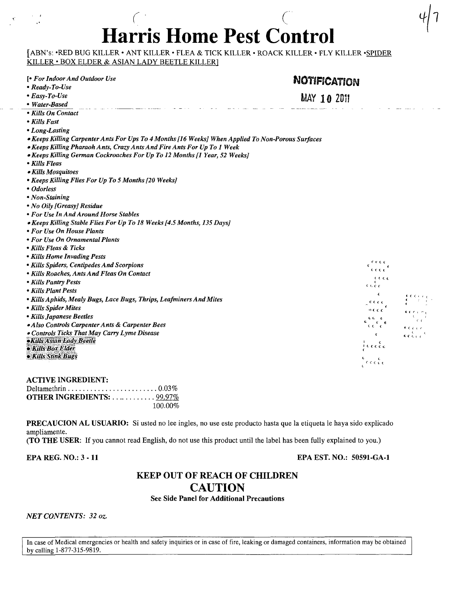# . The contract of  $C$  is a contract of  $C$ **Harris Home Pest Control**

[ABN's: -RED BUG KILLER - ANT KILLER - FLEA & TICK KILLER - ROACK KILLER - FLY KILLER -SPIDER KILLER - BOX ELDER & ASIAN LADY BEETLE KILLER]

| [• For Indoor And Outdoor Use                                                                     | <b>NOTIFICATION</b>                                                         |  |  |  |  |
|---------------------------------------------------------------------------------------------------|-----------------------------------------------------------------------------|--|--|--|--|
| • Ready-To-Use                                                                                    |                                                                             |  |  |  |  |
| $\bullet$ Easy-To-Use                                                                             | <b>MAY 10 2011</b>                                                          |  |  |  |  |
| • Water-Based                                                                                     |                                                                             |  |  |  |  |
| • Kills On Contact                                                                                |                                                                             |  |  |  |  |
| • Kills Fast                                                                                      |                                                                             |  |  |  |  |
| • Long-Lasting                                                                                    |                                                                             |  |  |  |  |
| • Keeps Killing Carpenter Ants For Ups To 4 Months [16 Weeks] When Applied To Non-Porous Surfaces |                                                                             |  |  |  |  |
| • Keeps Killing Pharaoh Ants, Crazy Ants And Fire Ants For Up To 1 Week                           |                                                                             |  |  |  |  |
| • Keeps Killing German Cockroaches For Up To 12 Months [1 Year, 52 Weeks]                         |                                                                             |  |  |  |  |
| • Kills Fleas                                                                                     |                                                                             |  |  |  |  |
| • Kills Mosquitoes                                                                                |                                                                             |  |  |  |  |
| • Keeps Killing Flies For Up To 5 Months [20 Weeks]                                               |                                                                             |  |  |  |  |
| • Odorless                                                                                        |                                                                             |  |  |  |  |
| • Non-Staining                                                                                    |                                                                             |  |  |  |  |
| • No Oily [Greasy] Residue                                                                        |                                                                             |  |  |  |  |
| • For Use In And Around Horse Stables                                                             |                                                                             |  |  |  |  |
| • Keeps Killing Stable Flies For Up To 18 Weeks [4.5 Months, 135 Days]                            |                                                                             |  |  |  |  |
| • For Use On House Plants                                                                         |                                                                             |  |  |  |  |
| • For Use On Ornamental Plants                                                                    |                                                                             |  |  |  |  |
| • Kills Fleas & Ticks                                                                             |                                                                             |  |  |  |  |
| • Kills Home Invading Pests                                                                       |                                                                             |  |  |  |  |
| • Kills Spiders, Centipedes And Scorpions                                                         | e nicio                                                                     |  |  |  |  |
| • Kills Roaches, Ants And Fleas On Contact                                                        | crcc                                                                        |  |  |  |  |
| • Kills Pantry Pests                                                                              | ττει<br>c.e.c.                                                              |  |  |  |  |
| • Kills Plant Pests                                                                               |                                                                             |  |  |  |  |
| • Kills Aphids, Mealy Bugs, Lace Bugs, Thrips, Leafminers And Mites                               | ε<br>$\mathbf{C} = \mathbf{C} \cdot \mathbf{C}$<br>cccc                     |  |  |  |  |
| • Kills Spider Mites                                                                              | $0 \leq C \leq$                                                             |  |  |  |  |
| • Kills Japanese Beetles                                                                          | $k \in r_{i_1} \cap r_{i_2}$<br><b>C</b><br>CG €.                           |  |  |  |  |
| • Also Controls Carpenter Ants & Carpenter Bees                                                   | $\epsilon$<br>$\epsilon \epsilon \epsilon$<br>$E \in C \subset \mathbb{R}$  |  |  |  |  |
| • Controls Ticks That May Carry Lyme Disease                                                      | $\frac{1}{\kappa} \frac{1}{\kappa} \frac{1}{\kappa} \frac{1}{\kappa}$<br>¢. |  |  |  |  |
| <b>.Kills Asian Lady Beetle</b>                                                                   | $\epsilon$                                                                  |  |  |  |  |
| · Kills Box Elder                                                                                 | $\iota$ c c c c                                                             |  |  |  |  |
| · Kills Stink Bugs                                                                                | $\epsilon$ c c c c                                                          |  |  |  |  |
|                                                                                                   |                                                                             |  |  |  |  |

| <b>ACTIVE INGREDIENT:</b>                                                     |         |
|-------------------------------------------------------------------------------|---------|
| Deltamethrin $\ldots \ldots \ldots \ldots \ldots \ldots \ldots \ldots 0.03\%$ |         |
| <b>OTHER INGREDIENTS:</b> 99.97%                                              |         |
|                                                                               | 100.00% |

PRECAUCION AL USUARIO: Si usted no lee ingles, no use este producto hasta que la etiqueta le haya sido explicado ampliamente.

(TO THE USER: If you cannot read English, do not use this product until the label has been fully explained to you.)

EPA REG. NO.: 3 - 11

EPA EST. NO.: SOS91-GA-l

## KEEP OUT OF REACH OF CHILDREN **CAUTION**

See Side Panel for Additional Precautions

*NETCONTENTS:* 32 *oz.* 

In case of Medical emergencies or health and safety inquiries or in case of fire, leaking or damaged containers, information may be obtained by calling 1-877-315-9819.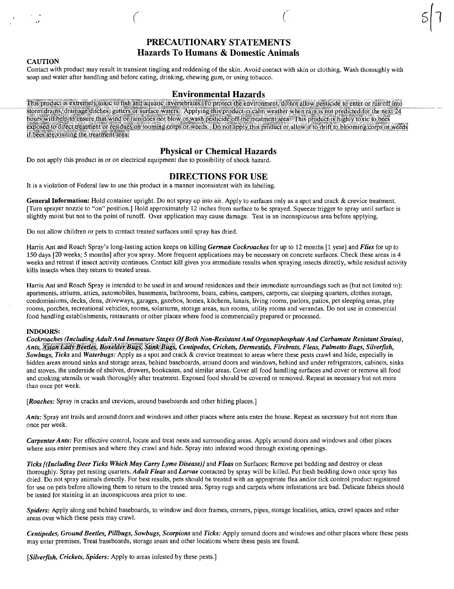## PRECAUTIONARY STATEMENTS Hazards To Humans & Domestic Animals

 $\zeta$  and  $\zeta$ 

#### **CAUTION**

"

Contact with product may result in transient tingling and reddening of the skin. Avoid contact with skin or clothing. Wash thoroughly with soap and water after handling and before eating, drinking, chewing gum, or using tobacco.

## Environmental Hazards

This product is extremely toxic to fish and aquatic invertebrates. To protect the environment, do not allow pesticide to enter or run off into storm drains, drainage ditches, gutters or surface waters. Applying this product in calm weather when rain is not predicted for the next 24 hours will help to ensure that wind or rain does not blow or wash pesticide off the treatment area. This product is highly toxic to bees exposed to direct treatment or residues on looming corps or weeds. Do not apply this product or allow it to drift to blooming corps or weeds if bees are visiting the treatment area.

## Physical or Chemical Hazards

Do not apply this product in or on electrical equipment due to possibility of shock hazard.

## DIRECTIONS FOR USE

It is a violation of Federal law to use this product in a manner inconsistent with its labeling.

General Information: Hold container upright. Do not spray up into air. Apply to surfaces only as a spot and crack & crevice treatment. [Turn sprayer nozzle to "on" position.] Hold approximately 12 inches from surface to be sprayed. Squeeze trigger to spray until surface is slightly moist but not to the point of runoff. Over application may cause damage. Test in an inconspicuous area before applying.

Do not allow children or pets to contact treated surfaces until spray has dried.

Harris Ant and Roach Spray's long-lasting action keeps on killing *German Cockroaches* for up to 12 months [1 year] and *Flies* for up to 150 days [20 weeks; 5 months] after you spray. More frequent applications may be necessary on concrete surfaces. Check these areas in 4 weeks and retreat if insect activity continues. Contact kill gives you immediate results when spraying insects directly, while residual activity kills insects when they return to treated areas.

Harris Ant and Roach Spray is intended to be used in and around residences and their immediate surroundings such as (but not limited to): apartments, atriums, attics, automobiles, basements, bathrooms, boats, cabins, campers, carports, cat sleeping quarters, clothes storage, condominiums, decks, dens, driveways, garages, gazebos, homes, kitchens, lanais, living rooms, parlors, patios, pet sleeping areas, play rooms, porches, recreational vehicles, rooms, solariums, storage areas, sun rooms, utility rooms and verandas. Do not use in commercial food handling establishments, restaurants or other places where food is commercially prepared or processed.

#### INDOORS:

*Cockroaches (Including Adult AndlmmatureStages Of Both Non-Resistant And Organophosphate And Carbamate Resistant Strains), Ants,* §fll(j~~~@yipl~il€§J llQ~~[jilrliJyg'f} \$1ibMi1~g~, *Centipedes, Crickets, Dermestids, Firebrats, Fleas, Palmetto Bugs, SilverfISh, Sowbugs, Ticks* and *Waterbugs:* Apply as a spot and crack & crevice treatment to areas where these pests crawl and hide, especially in hidden areas around sinks and storage areas, behind baseboards, around doors and windows, behind and under refrigerators, cabinets, sinks and stoves, the underside of shelves, drawers, bookcases, and similar areas. Cover all food handling surfaces and cover or remove all food and cooking utensils or wash thoroughly after treatment. Exposed food should be covered or removed. Repeat as necessary but not more than once per week.

*[Roaches:* Spray in cracks and crevices, around baseboards and other hiding places.]

*Ants:* Spray ant trails and around doors and windows and other places where ants enter the house. Repeat as necessary but not more than once per week.

*Carpenter Ants:* For effective control, locate and treat nests and surrounding areas. Apply around doors and windows and other places where ants enter premises and where they crawl and hide. Spray into infested wood through existing openings.

*Ticks [(Including Deer Ticks Which May Carry Lyme Disease)]* and *Fleas* on Surfaces: Remove pet bedding and destroy or clean thoroughly. Spray pet resting quarters. *Adult Fleas* and *Larvae* contacted by spray will be killed. Put fresh bedding down once spray has dried. Do not spray animals directly. For best results, pets should be treated with an appropriate flea and/or tick control product registered for use on pets before allowing them to return to the treated area. Spray rugs and carpets where infestations are bad. Delicate fabrics should be tested for staining in an inconspicuous area prior to use.

*Spiders:* Apply along and behind baseboards, to window and door frames, corners, pipes, storage localities, attics, crawl spaces and other areas over which these pests may crawl.

*Centipedes, Ground Beetles, Pillbugs, Sowbugs, Scorpions* and *Ticks:* Apply around doors and windows and other places where these pests may enter premises. Treat baseboards, storage areas and other locations where these pests are found.

*[Silverfish, Crickets, Spiders:* Apply to areas infested by these pests.]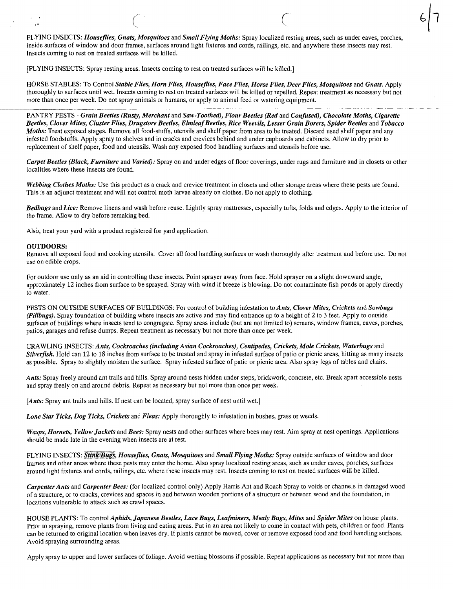FLYING INSECTS: *Houseflies, Gnats, Mosquitoes* and *Small Flying Moths:* Spray localized resting areas, such as under eaves, porches, inside surfaces of window and door frames, surfaces around light fixtures and cords, railings, etc. and anywhere these insects may rest. Insects coming to rest on treated surfaces will be killed.

 $\left( \begin{array}{ccc} \cdot & \cdot & \cdot & \cdot \\ \cdot & \cdot & \cdot & \cdot \end{array} \right)$ 

[FLYING INSECTS: Spray resting areas. Insects coming to rest on treated surfaces will be killed.]

HORSE STABLES: To Control *Stable Flies, Horn Flies, Houseflies, Face Flies, Horse Flies, Deer Flies, Mosquitoes* and *Gnats.* Apply thoroughly to surfaces until wet. Insects coming to rest on treated surfaces will be killed or repelled. Repeat treatment as necessary but not more than once per week. Do not spray animals or humans, or apply to animal feed or watering equipment.

PANTRY PESTS - *Grain Beetles (Rusty, Merchant and Saw-Toothed), Flour Beetles (Red and Confused), Chocolate Moths, Cigarette Beetles, Clover Mites, Cluster Flies, Drugstore Beetles, Elmlea/Beetles, Rice Weevils, Lesser Grain Borers, Spider Beetles* and *Tobacco Moths:* Treat exposed stages. Remove all food-stuffs, utensils and shelf paper from area to be treated. Discard used shelf paper and any infested foodstuffs. Apply spray to shelves and in cracks and crevices behind and under cupboards and cabinets. Allow to dry prior to replacement of shelf paper, food and utensils. Wash any exposed food handling surfaces and utensils before use.

*Carpet Beetles (Black, Furniture* and *Varied):* Spray on and under edges of floor coverings, under rugs and furniture and in closets or other localities where these insects are found.

*Webbing Clothes Moths:* Use this product as a crack and crevice treatment in closets and other storage areas where these pests are found. This is an adjunct treatment and will not control moth larvae already on clothes. Do not apply to clothing.

*Bedbugs* and *Lice:* Remove linens and wash before reuse. Lightly spray mattresses, especially tufts, folds and edges. Apply to the interior of the frame. Allow to dry before remaking bed.

Also, treat your yard with a product registered for yard application.

#### OUTDOORS:

Remove all exposed food and cooking utensils. Cover all food handling surfaces or wash thoroughly after treatment and before use. Do not use on edible crops.

For outdoor use only as an aid in controlling these insects. Point sprayer away from face. Hold sprayer on a slight downward angle, approximately 12 inches from surface to be sprayed. Spray with wind if breeze is blowing. Do not contaminate fish ponds or apply directly to water.

PESTS ON OUTSIDE SURFACES OF BUILDINGS: For control of building infestation to *Ants, Clover Mites, Crickets* and *Sowbugs (Pillbugs).* Spray foundation of building where insects are active and may find entrance up to a height of 2 to 3 feet. Apply to outside surfaces of buildings where insects tend to congregate. Spray areas include (but are not limited to) screens, window frames, eaves, porches, patios, garages and refuse dumps. Repeat treatment as necessary but not more than once per week.

CRAWLING INSECTS: *Ants, Cockroaches (including Asian Cockroaches), Centipedes, Crickets, Mole Crickets, Waterbugs* and *Silverfish*. Hold can 12 to 18 inches from surface to be treated and spray in infested surface of patio or picnic areas, hitting as many insects as possible. Spray to slightly moisten the surface. Spray infested surface of patio or picnic area. Also spray legs of tables and chairs.

*Ants:* Spray freely around ant trails and hills. Spray around nests hidden under steps, brickwork, concrete, etc. Break apart accessible nests and spray freely on and around debris. Repeat as necessary but not more than once per week.

[Ants: Spray ant trails and hills. If nest can be located, spray surface of nest until wet.]

*Lone Star Ticks, Dog Ticks, Crickets* and *Fleas:* Apply thoroughly to infestation in bushes, grass or weeds.

*Wasps, Hornets, Yellow Jackets* and *Bees:* Spray nests and other surfaces where bees may rest. Aim spray at nest openings. Applications should be made late in the evening when insects are at rest.

FLYING INSECTS: *Stink-Bugs, Houseflies, Gnats, Mosquitoes* and *Small Flying Moths:* Spray outside surfaces of window and door frames and other areas where these pests may enter the home. Also spray localized resting areas, such as under eaves, porches, surfaces around light fixtures and cords, railings, etc. where these insects may rest. Insects coming to rest on treated surfaces will be killed.

*Carpenter Ants* and *Carpenter Bees:* (for localized control only) Apply Harris Ant and Roach Spray to voids or channels in damaged wood of a structure, or to cracks, crevices and spaces in and between wooden portions of a structure or between wood and the foundation, in locations vulnerable to attack such as crawl spaces.

HOUSE PLANTS: To control *Aphids, Japanese Beetles, Lace Bugs, Lea/miners, Mealy Bugs, Mites* and *Spider Mites* on house plants. Prior to spraying, remove plants from living and eating areas. Put in an area not likely to come in contact with pets, children or food. Plants can be returned to original location when leaves dry. If plants cannot be moved, cover or remove exposed food and food handling surfaces. Avoid spraying surrounding areas.

Apply spray to upper and lower surfaces of foliage. Avoid wetting blossoms if possible. Repeat applications as necessary but not more than